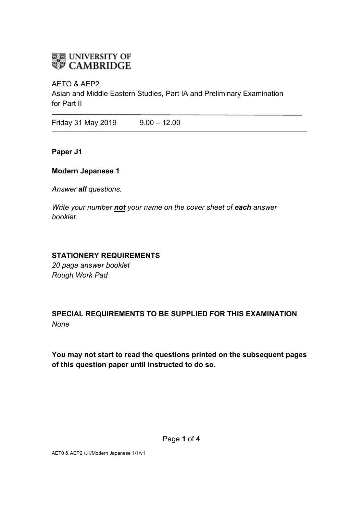# **ELE UNIVERSITY OF**<br>**WE CAMBRIDGE**

#### AETO & AEP2

Asian and Middle Eastern Studies, Part IA and Preliminary Examination for Part II

Friday 31 May 2019 9.00 – 12.00

**Paper J1**

#### **Modern Japanese 1**

*Answer all questions.*

*Write your number not your name on the cover sheet of each answer booklet.* 

#### **STATIONERY REQUIREMENTS**

*20 page answer booklet Rough Work Pad*

# **SPECIAL REQUIREMENTS TO BE SUPPLIED FOR THIS EXAMINATION** *None*

**You may not start to read the questions printed on the subsequent pages of this question paper until instructed to do so.**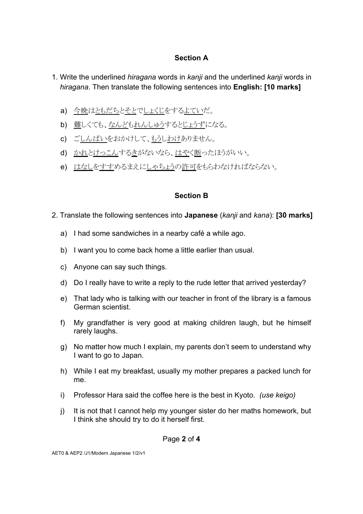### **Section A**

- 1. Write the underlined *hiragana* words in *kanji* and the underlined *kanji* words in *hiragana*. Then translate the following sentences into **English: [10 marks]**
	- a) 今晩はともだちとそとでしょくじをするよていだ。
	- b) 難しくても、なんどもれんしゅうするとじょうずになる。
	- c) ごしん䜁いをおかけして、もうしわけありません。
	- d) かれとけっこんするきがないなら、はやく断ったほうがいい。
	- e) はなしをすすめるまえにしゃちょうの許可をもらわなければならない。

### **Section B**

- 2. Translate the following sentences into **Japanese** (*kanji* and *kana*): **[30 marks]** 
	- a) I had some sandwiches in a nearby café a while ago.
	- b) I want you to come back home a little earlier than usual.
	- c) Anyone can say such things.
	- d) Do I really have to write a reply to the rude letter that arrived yesterday?
	- e) That lady who is talking with our teacher in front of the library is a famous German scientist.
	- f) My grandfather is very good at making children laugh, but he himself rarely laughs.
	- g) No matter how much I explain, my parents don't seem to understand why I want to go to Japan.
	- h) While I eat my breakfast, usually my mother prepares a packed lunch for me.
	- i) Professor Hara said the coffee here is the best in Kyoto. *(use keigo)*
	- j) It is not that I cannot help my younger sister do her maths homework, but I think she should try to do it herself first.

Page **2** of **4**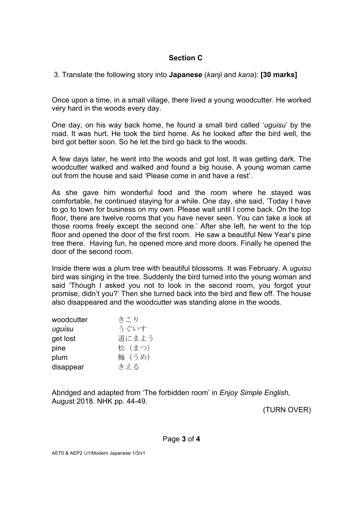#### **Section C**

3. Translate the following story into **Japanese** (*kanji* and *kana*): **[30 marks]**

Once upon a time, in a small village, there lived a young woodcutter. He worked very hard in the woods every day.

One day, on his way back home, he found a small bird called '*uguisu*' by the road. It was hurt. He took the bird home. As he looked after the bird well, the bird got better soon. So he let the bird go back to the woods.

A few days later, he went into the woods and got lost. It was getting dark. The woodcutter walked and walked and found a big house. A young woman came out from the house and said 'Please come in and have a rest'.

As she gave him wonderful food and the room where he stayed was comfortable, he continued staying for a while. One day, she said, 'Today I have to go to town for business on my own. Please wait until I come back. On the top floor, there are twelve rooms that you have never seen. You can take a look at those rooms freely except the second one.' After she left, he went to the top floor and opened the door of the first room. He saw a beautiful New Year's pine tree there. Having fun, he opened more and more doors. Finally he opened the door of the second room.

Inside there was a plum tree with beautiful blossoms. It was February. A *uguisu* bird was singing in the tree. Suddenly the bird turned into the young woman and said 'Though I asked you not to look in the second room, you forgot your promise, didn't you?' Then she turned back into the bird and flew off. The house also disappeared and the woodcutter was standing alone in the woods.

| woodcutter | きこり    |
|------------|--------|
| uguisu     | うぐいす   |
| get lost   | 道にまよう  |
| pine       | 松 (まつ) |
| plum       | 梅 (うめ) |
| disappear  | きえる    |

Abridged and adapted from 'The forbidden room' in *Enjoy Simple English,*  August 2018*.* NHK pp. 44-49.

(TURN OVER)

Page **3** of **4**

AET0 & AEP2 /J1/Modern Japanese 1/3/v1